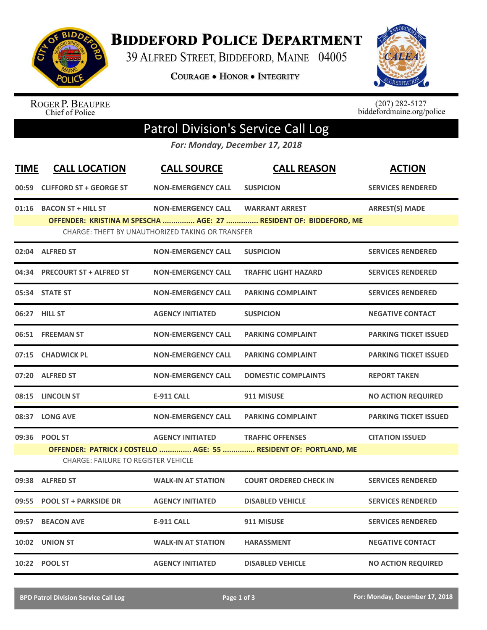

**BIDDEFORD POLICE DEPARTMENT** 

39 ALFRED STREET, BIDDEFORD, MAINE 04005

**COURAGE . HONOR . INTEGRITY** 



ROGER P. BEAUPRE<br>Chief of Police

 $(207)$  282-5127<br>biddefordmaine.org/police

## Patrol Division's Service Call Log

*For: Monday, December 17, 2018*

| <b>TIME</b> | <b>CALL LOCATION</b>                                                                                           | <b>CALL SOURCE</b>                               | <b>CALL REASON</b>                                                | <b>ACTION</b>                |  |  |  |
|-------------|----------------------------------------------------------------------------------------------------------------|--------------------------------------------------|-------------------------------------------------------------------|------------------------------|--|--|--|
| 00:59       | <b>CLIFFORD ST + GEORGE ST</b>                                                                                 | <b>NON-EMERGENCY CALL</b>                        | <b>SUSPICION</b>                                                  | <b>SERVICES RENDERED</b>     |  |  |  |
| 01:16       | <b>BACON ST + HILL ST</b>                                                                                      | <b>NON-EMERGENCY CALL</b>                        | <b>WARRANT ARREST</b>                                             | <b>ARREST(S) MADE</b>        |  |  |  |
|             |                                                                                                                | CHARGE: THEFT BY UNAUTHORIZED TAKING OR TRANSFER | OFFENDER: KRISTINA M SPESCHA  AGE: 27  RESIDENT OF: BIDDEFORD, ME |                              |  |  |  |
| 02:04       | <b>ALFRED ST</b>                                                                                               | <b>NON-EMERGENCY CALL</b>                        | <b>SUSPICION</b>                                                  | <b>SERVICES RENDERED</b>     |  |  |  |
| 04:34       | <b>PRECOURT ST + ALFRED ST</b>                                                                                 | <b>NON-EMERGENCY CALL</b>                        | <b>TRAFFIC LIGHT HAZARD</b>                                       | <b>SERVICES RENDERED</b>     |  |  |  |
|             | 05:34 STATE ST                                                                                                 | <b>NON-EMERGENCY CALL</b>                        | <b>PARKING COMPLAINT</b>                                          | <b>SERVICES RENDERED</b>     |  |  |  |
|             | 06:27 HILL ST                                                                                                  | <b>AGENCY INITIATED</b>                          | <b>SUSPICION</b>                                                  | <b>NEGATIVE CONTACT</b>      |  |  |  |
|             | 06:51 FREEMAN ST                                                                                               | <b>NON-EMERGENCY CALL</b>                        | <b>PARKING COMPLAINT</b>                                          | <b>PARKING TICKET ISSUED</b> |  |  |  |
| 07:15       | <b>CHADWICK PL</b>                                                                                             | <b>NON-EMERGENCY CALL</b>                        | <b>PARKING COMPLAINT</b>                                          | <b>PARKING TICKET ISSUED</b> |  |  |  |
|             | 07:20 ALFRED ST                                                                                                | <b>NON-EMERGENCY CALL</b>                        | <b>DOMESTIC COMPLAINTS</b>                                        | <b>REPORT TAKEN</b>          |  |  |  |
|             | 08:15 LINCOLN ST                                                                                               | <b>E-911 CALL</b>                                | 911 MISUSE                                                        | <b>NO ACTION REQUIRED</b>    |  |  |  |
|             | 08:37 LONG AVE                                                                                                 | <b>NON-EMERGENCY CALL</b>                        | <b>PARKING COMPLAINT</b>                                          | <b>PARKING TICKET ISSUED</b> |  |  |  |
| 09:36       | <b>POOL ST</b>                                                                                                 | <b>AGENCY INITIATED</b>                          | <b>TRAFFIC OFFENSES</b>                                           | <b>CITATION ISSUED</b>       |  |  |  |
|             | OFFENDER: PATRICK J COSTELLO  AGE: 55  RESIDENT OF: PORTLAND, ME<br><b>CHARGE: FAILURE TO REGISTER VEHICLE</b> |                                                  |                                                                   |                              |  |  |  |
| 09:38       | <b>ALFRED ST</b>                                                                                               | <b>WALK-IN AT STATION</b>                        | <b>COURT ORDERED CHECK IN</b>                                     | <b>SERVICES RENDERED</b>     |  |  |  |
| 09:55       | <b>POOL ST + PARKSIDE DR</b>                                                                                   | <b>AGENCY INITIATED</b>                          | <b>DISABLED VEHICLE</b>                                           | <b>SERVICES RENDERED</b>     |  |  |  |
| 09:57       | <b>BEACON AVE</b>                                                                                              | <b>E-911 CALL</b>                                | 911 MISUSE                                                        | <b>SERVICES RENDERED</b>     |  |  |  |
| 10:02       | <b>UNION ST</b>                                                                                                | <b>WALK-IN AT STATION</b>                        | <b>HARASSMENT</b>                                                 | <b>NEGATIVE CONTACT</b>      |  |  |  |
|             | 10:22 POOL ST                                                                                                  | <b>AGENCY INITIATED</b>                          | <b>DISABLED VEHICLE</b>                                           | <b>NO ACTION REQUIRED</b>    |  |  |  |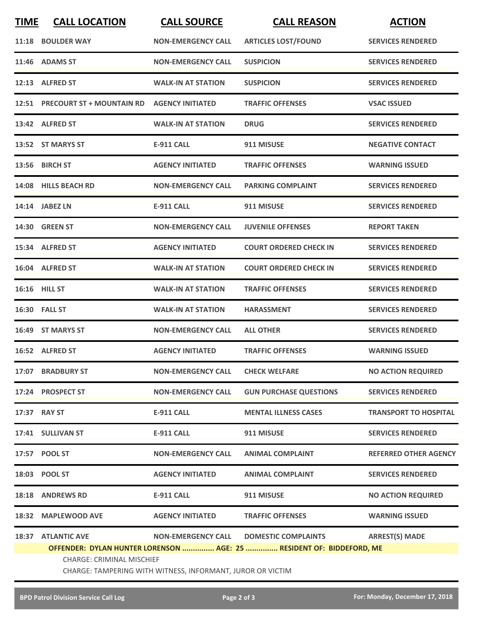| <b>TIME</b> | <b>CALL LOCATION</b>                                                                           | <b>CALL SOURCE</b>               | <b>CALL REASON</b>            | <b>ACTION</b>                |  |
|-------------|------------------------------------------------------------------------------------------------|----------------------------------|-------------------------------|------------------------------|--|
|             | 11:18 BOULDER WAY                                                                              | <b>NON-EMERGENCY CALL</b>        | <b>ARTICLES LOST/FOUND</b>    | <b>SERVICES RENDERED</b>     |  |
|             | 11:46 ADAMS ST                                                                                 | <b>NON-EMERGENCY CALL</b>        | <b>SUSPICION</b>              | <b>SERVICES RENDERED</b>     |  |
|             | 12:13 ALFRED ST                                                                                | <b>WALK-IN AT STATION</b>        | <b>SUSPICION</b>              | <b>SERVICES RENDERED</b>     |  |
|             | 12:51 PRECOURT ST + MOUNTAIN RD AGENCY INITIATED                                               |                                  | <b>TRAFFIC OFFENSES</b>       | <b>VSAC ISSUED</b>           |  |
|             | 13:42 ALFRED ST                                                                                | <b>WALK-IN AT STATION</b>        | <b>DRUG</b>                   | <b>SERVICES RENDERED</b>     |  |
|             | 13:52 ST MARYS ST                                                                              | <b>E-911 CALL</b>                | 911 MISUSE                    | <b>NEGATIVE CONTACT</b>      |  |
|             | 13:56 BIRCH ST                                                                                 | <b>AGENCY INITIATED</b>          | <b>TRAFFIC OFFENSES</b>       | <b>WARNING ISSUED</b>        |  |
|             | 14:08 HILLS BEACH RD                                                                           | <b>NON-EMERGENCY CALL</b>        | <b>PARKING COMPLAINT</b>      | <b>SERVICES RENDERED</b>     |  |
|             | 14:14 JABEZ LN                                                                                 | <b>E-911 CALL</b>                | 911 MISUSE                    | <b>SERVICES RENDERED</b>     |  |
|             | <b>14:30 GREEN ST</b>                                                                          | <b>NON-EMERGENCY CALL</b>        | <b>JUVENILE OFFENSES</b>      | <b>REPORT TAKEN</b>          |  |
|             | 15:34 ALFRED ST                                                                                | <b>AGENCY INITIATED</b>          | <b>COURT ORDERED CHECK IN</b> | <b>SERVICES RENDERED</b>     |  |
|             | 16:04 ALFRED ST                                                                                | <b>WALK-IN AT STATION</b>        | <b>COURT ORDERED CHECK IN</b> | <b>SERVICES RENDERED</b>     |  |
|             | 16:16 HILL ST                                                                                  | <b>WALK-IN AT STATION</b>        | <b>TRAFFIC OFFENSES</b>       | <b>SERVICES RENDERED</b>     |  |
|             | 16:30 FALL ST                                                                                  | <b>WALK-IN AT STATION</b>        | <b>HARASSMENT</b>             | <b>SERVICES RENDERED</b>     |  |
|             | 16:49 ST MARYS ST                                                                              | <b>NON-EMERGENCY CALL</b>        | <b>ALL OTHER</b>              | <b>SERVICES RENDERED</b>     |  |
|             | 16:52 ALFRED ST                                                                                | <b>AGENCY INITIATED</b>          | <b>TRAFFIC OFFENSES</b>       | <b>WARNING ISSUED</b>        |  |
|             | 17:07 BRADBURY ST                                                                              | NON-EMERGENCY CALL CHECK WELFARE |                               | <b>NO ACTION REQUIRED</b>    |  |
|             | 17:24 PROSPECT ST                                                                              | <b>NON-EMERGENCY CALL</b>        | <b>GUN PURCHASE QUESTIONS</b> | <b>SERVICES RENDERED</b>     |  |
|             | 17:37 RAY ST                                                                                   | <b>E-911 CALL</b>                | <b>MENTAL ILLNESS CASES</b>   | <b>TRANSPORT TO HOSPITAL</b> |  |
|             | 17:41 SULLIVAN ST                                                                              | <b>E-911 CALL</b>                | 911 MISUSE                    | <b>SERVICES RENDERED</b>     |  |
|             | 17:57 POOL ST                                                                                  | <b>NON-EMERGENCY CALL</b>        | <b>ANIMAL COMPLAINT</b>       | <b>REFERRED OTHER AGENCY</b> |  |
|             | 18:03 POOL ST                                                                                  | <b>AGENCY INITIATED</b>          | <b>ANIMAL COMPLAINT</b>       | <b>SERVICES RENDERED</b>     |  |
|             | 18:18 ANDREWS RD                                                                               | E-911 CALL                       | 911 MISUSE                    | <b>NO ACTION REQUIRED</b>    |  |
|             | 18:32 MAPLEWOOD AVE                                                                            | <b>AGENCY INITIATED</b>          | <b>TRAFFIC OFFENSES</b>       | <b>WARNING ISSUED</b>        |  |
|             | <b>18:37 ATLANTIC AVE</b>                                                                      | <b>NON-EMERGENCY CALL</b>        | <b>DOMESTIC COMPLAINTS</b>    | <b>ARREST(S) MADE</b>        |  |
|             | OFFENDER: DYLAN HUNTER LORENSON  AGE: 25  RESIDENT OF: BIDDEFORD, ME                           |                                  |                               |                              |  |
|             | <b>CHARGE: CRIMINAL MISCHIEF</b><br>CHARGE: TAMPERING WITH WITNESS, INFORMANT, JUROR OR VICTIM |                                  |                               |                              |  |